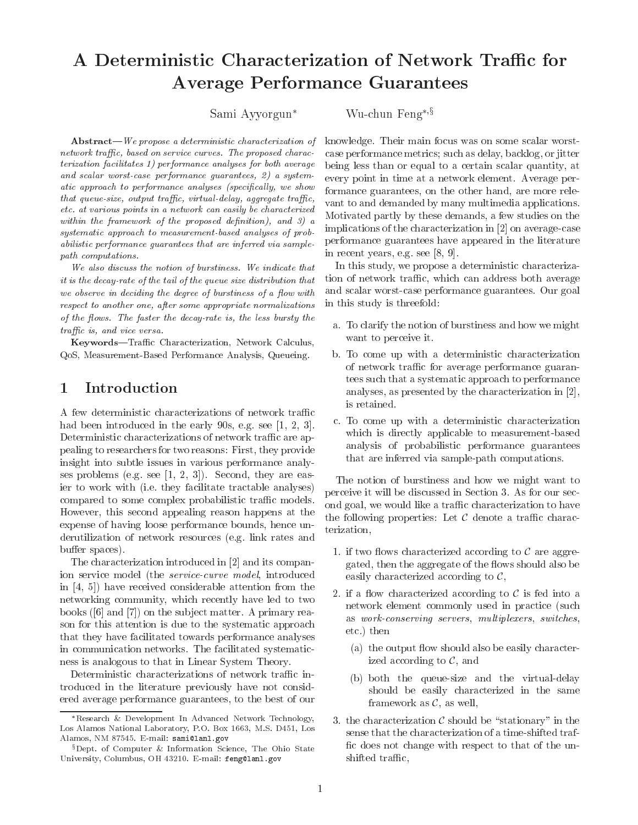## A Deterministic Characterization of Network Traffic for Average Performance Guarantees

Sami Ayyorgun<sup>\*</sup> Wu-chun Feng<sup>\*,  $\S$ </sup>

 $Abstract-We propose a deterministic characterization of$ network traffic, based on service curves. The proposed characterization facilitates 1) performance analyses for both average and scalar worst-case performance guarantees, 2) a systematic approach to performance analyses (specifically, we show that queue-size, output traffic, virtual-delay, aggregate traffic, etc. at various points in a network can easily be characterized within the framework of the proposed definition), and  $3)$  a systematic approach to measurement-based analyses of probabilistic performance guarantees that are inferred via samplepath computations.

We also discuss the notion of burstiness. We indicate that it is the decay-rate of the tail of the queue size distribution that we observe in deciding the degree of burstiness of a flow with respect to another one, after some appropriate normalizations of the flows. The faster the decay-rate is, the less bursty the traffic is, and vice versa.

Keywords-Traffic Characterization, Network Calculus, QoS, Measurement-Based Performance Analysis, Queueing.

#### Introduction  $\mathbf{1}$

A few deterministic characterizations of network traffic had been introduced in the early 90s, e.g. see [1, 2, 3]. Deterministic characterizations of network traffic are appealing to researchers for two reasons: First, they provide insight into subtle issues in various performance analyses problems (e.g. see [1, 2, 3]). Second, they are easier to work with (i.e. they facilitate tractable analyses) compared to some complex probabilistic traffic models. However, this second appealing reason happens at the expense of having loose performance bounds, hence underutilization of network resources (e.g. link rates and buffer spaces).

The characterization introduced in [2] and its companion service model (the service-curve model, introduced in [4, 5]) have received considerable attention from the networking community, which recently have led to two books ([6] and [7]) on the sub ject matter. A primary reason for this attention is due to the systematic approach that they have facilitated towards performance analyses in communication networks. The facilitated systematicness is analogous to that in Linear System Theory.

Deterministic characterizations of network traffic introduced in the literature previously have not considered average performance guarantees, to the best of our

knowledge. Their main focus was on some scalar worstcase performance metrics; such as delay, backlog, or jitter being less than or equal to a certain scalar quantity, at every point in time at a network element. Average performance guarantees, on the other hand, are more rele vant to and demanded by many multimedia applications. Motivated partly by these demands, a few studies on the implications of the characterization in [2] on average-case performance guarantees have appeared in the literature in recent years, e.g. see [8, 9].

In this study, we propose a deterministic characterization of network traffic, which can address both average and scalar worst-case performance guarantees. Our goal in this study is threefold:

- a. To clarify the notion of burstiness and how we might want to perceive it.
- b. To come up with a deterministic characterization of network traffic for average performance guarantees such that a systematic approach to performance analyses, as presented by the characterization in [2], is retained.
- c. To come up with a deterministic characterization which is directly applicable to measurement-based analysis of probabilistic performance guarantees that are inferred via sample-path computations.

The notion of burstiness and how we might want to perceive it will be discussed in Section 3. As for our second goal, we would like a traffic characterization to have the following properties: Let C denote <sup>a</sup> trac characterization,

- 1. if two 
ows characterized according to C are aggregated, then the aggregate of the flows should also be easily characterized according to C,
- $\sim$  if a characterized according to C is fed into a network element commonly used in practice (such as work-conserving servers, multiplexers, switches, etc.) then
	- (a) the output flow should also be easily characterized according to C, and
	- (b) both the queue-size and the virtual-delay should be easily characterized in the same framework as C, as well,
- $\sim$  the characterization contribution contribution contribution contribution  $\mathcal{O}$ sense that the characterization of a time-shifted traf fic does not change with respect to that of the unshifted traffic,

Research & Development In Advanced Network Technology, Los Alamos National Laboratory, P.O. Box 1663, M.S. D451, Los Alamos, NM 87545. E-mail: sami@lanl.gov

<sup>&</sup>lt;sup>§</sup>Dept. of Computer & Information Science, The Ohio State University, Columbus, OH 43210. E-mail: feng@lanl.gov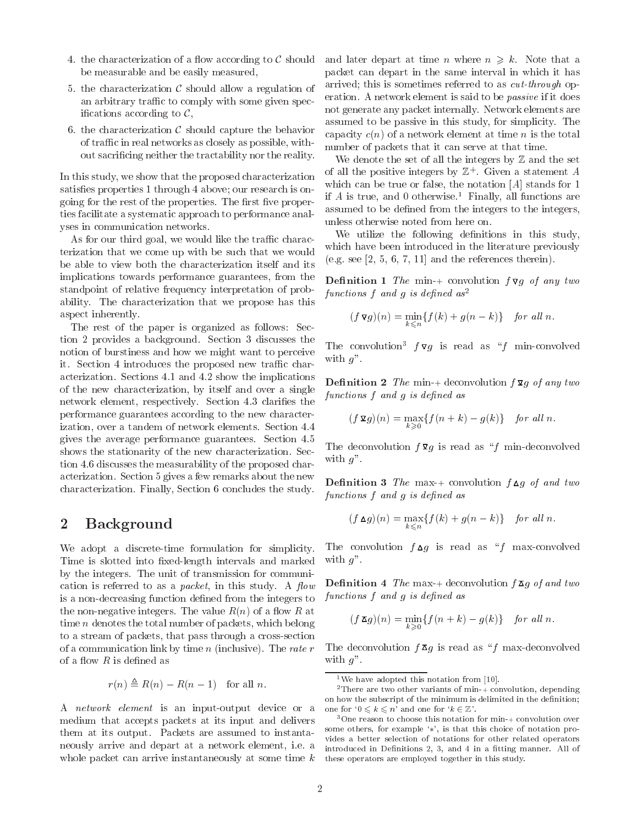- $\sigma$  and characterization of a cordinate to  $\sigma$ be measurable and be easily measured,
- 5. the characterization C should allow a regulation of an arbitrary traffic to comply with some given specis a cording to  $\mathbf{G}$  . Finally, the cordinate  $\mathbf{G}$
- $\mathcal{L}$  . The characterization C showledge the behavior capture the behavior  $\mathcal{L}(\mathcal{H})$ of traffic in real networks as closely as possible, without sacricing neither the tractability nor the reality.

In this study, we show that the proposed characterization satisfies properties 1 through 4 above; our research is ongoing for the rest of the properties. The first five properties facilitate a systematic approach to performance analyses in communication networks.

As for our third goal, we would like the traffic characterization that we come up with be such that we would be able to view both the characterization itself and its implications towards performance guarantees, from the standpoint of relative frequency interpretation of probability. The characterization that we propose has this aspect inherently.

The rest of the paper is organized as follows: Section 2 provides a background. Section 3 discusses the notion of burstiness and how we might want to perceive it. Section 4 introduces the proposed new traffic characterization. Sections 4.1 and 4.2 show the implications of the new characterization, by itself and over a single network element, respectively. Section 4.3 clarifies the performance guarantees according to the new characterization, over a tandem of network elements. Section 4.4 gives the average performance guarantees. Section 4.5 shows the stationarity of the new characterization. Section 4.6 discusses the measurability of the proposed characterization. Section 5 gives a few remarks about the new characterization. Finally, Section 6 concludes the study.

## 2 Background

We adopt a discrete-time formulation for simplicity. Time is slotted into fixed-length intervals and marked by the integers. The unit of transmission for communication is referred to as a *packet*, in this study. A *flow* is a non-decreasing function defined from the integers to the non-negative integers. The value  $R(n)$  of a flow R at time n denotes the total number of packets, which belong to a stream of packets, that pass through a cross-section of a communication link by time  $n$  (inclusive). The rate  $r$ of a flow  $R$  is defined as

$$
r(n) \triangleq R(n) - R(n-1) \quad \text{for all } n.
$$

A network element is an input-output device or a medium that accepts packets at its input and delivers them at its output. Packets are assumed to instantaneously arrive and depart at a network element, i.e. a whole packet can arrive instantaneously at some time k and later depart at time n where  $n \geq k$ . Note that a packet can depart in the same interval in which it has arrived; this is sometimes referred to as cut-through operation. A network element is said to be passive if it does not generate any packet internally. Network elements are assumed to be passive in this study, for simplicity. The capacity  $c(n)$  of a network element at time n is the total number of packets that it can serve at that time.

We denote the set of all the integers by  $\mathbb Z$  and the set of all the positive integers by  $\mathbb Z_+$ . Given a statement  $A$ which can be true or false, the notation [A] stands for 1 if A is true, and 0 otherwise.<sup>1</sup> Finally, all functions are assumed to be defined from the integers to the integers, unless otherwise noted from here on.

We utilize the following definitions in this study, which have been introduced in the literature previously (e.g. see  $[2, 5, 6, 7, 11]$  and the references therein).

**Definition 1** The min-+ convolution  $f \nabla g$  of any two functions f and g is defined  $as^2$ 

$$
(f\,\mathbf{\nabla}g)(n) = \min_{k \leq n} \{f(k) + g(n-k)\} \quad \text{for all } n.
$$

The convolution<sup>3</sup>  $f \nabla q$  is read as "f min-convolved" with  $g$ ".

**Definition 2** The min-+ deconvolution  $f \mathbf{\Sigma} g$  of any two functions  $f$  and  $g$  is defined as

$$
(f\,\mathbf{\Sigma}g)(n) = \max_{k \geqslant 0} \{f(n+k) - g(k)\} \quad \text{for all } n.
$$

The deconvolution  $f \Sigma g$  is read as "f min-deconvolved" with  $g$ ".

**Definition 3** The max-+ convolution  $f \triangle g$  of and two functions  $f$  and  $g$  is defined as

$$
(f \Delta g)(n) = \max_{k \leq n} \{ f(k) + g(n-k) \} \quad \text{for all } n.
$$

The convolution  $f \triangle g$  is read as "f max-convolved" with  $q$ ".

**Definition 4** The max-+ deconvolution  $f \mathbf{X} g$  of and two functions  $f$  and  $g$  is defined as

$$
(f \mathbf{A} g)(n) = \min_{k \geq 0} \{ f(n+k) - g(k) \} \quad \text{for all } n.
$$

The deconvolution  $f \overline{\mathbf{\Delta}} g$  is read as "f max-deconvolved with  $q$ ".

<sup>&</sup>lt;sup>1</sup>We have adopted this notation from [10].

<sup>&</sup>lt;sup>2</sup>There are two other variants of min- $+$  convolution, depending on how the subscript of the minimum is delimited in the definition; one for  $0 \leq k \leq n'$  and one for  $k \in \mathbb{Z}$ .

<sup>3</sup>One reason to choose this notation for min-+ convolution over some others, for example  $*\cdot$ , is that this choice of notation provides a better selection of notations for other related operators introduced in Definitions 2, 3, and 4 in a fitting manner. All of these operators are employed together in this study.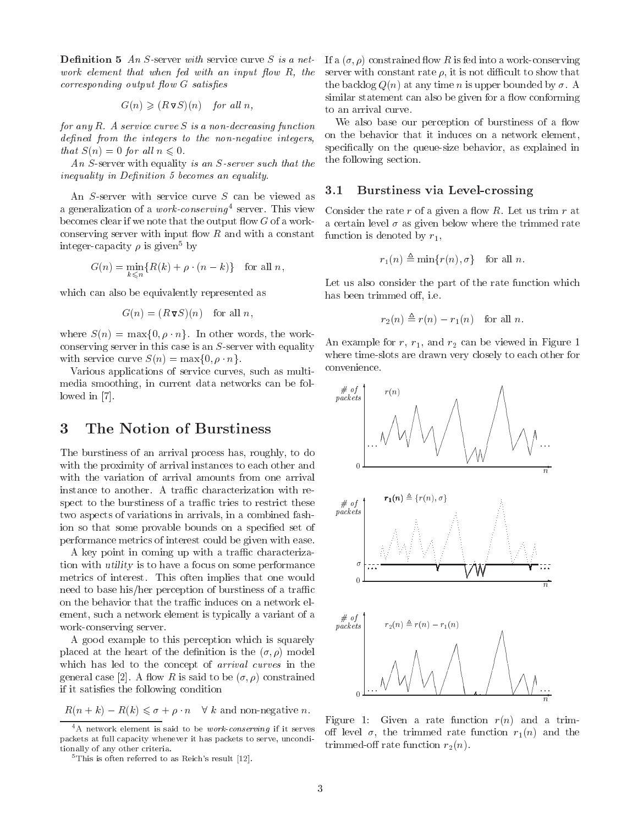**Definition 5** An S-server with service curve S is a network element that when  $f$ ed with an input  $f$ low  $R$ , the  $corresponding output flow G satisfies$ 

$$
G(n) \geqslant (R\nabla S)(n) \quad \text{for all } n,
$$

for any  $R$ . A service curve  $S$  is a non-decreasing function defined from the integers to the non-negative integers, that  $S(n)=0$  for all  $n \leq 0$ .

An S-server with equality is an S-server such that the inequality in Definition 5 becomes an equality.

An S-server with service curve S can be viewed as a generalization of a *work-conserving* server. Inis view then sider t becomes clear if we note that the output flow  $G$  of a workconserving server with input flow  $R$  and with a constant integer-capacity  $\rho$  is given<sup>5</sup> by

$$
G(n) = \min_{k \leq n} \{ R(k) + \rho \cdot (n - k) \} \text{ for all } n,
$$

which can also be equivalently represented as

$$
G(n) = (R\nabla S)(n) \text{ for all } n,
$$

where  $S(n) = \max\{0, \rho \cdot n\}$ . In other words, the workconserving server in this case is an S-server with equality with service curve  $S(n) = \max\{0, \rho \cdot n\}.$ 

Various applications of service curves, such as multimedia smoothing, in current data networks can be followed in [7].

The burstiness of an arrival process has, roughly, to do with the proximity of arrival instances to each other and instance to another. A traffic characterization with respect to the burstiness of a traffic tries to restrict these  $\# of$ <br>two aspects of variations in arrivals in a combined fact *packets* two aspects of variations in arrivals, in a combined fashion so that some provable bounds on a specied set of performance metrics of interest could be given with ease.

A key point in coming up with a traffic characterization with utility is to have a focus on some performance metrics of interest. This often implies that one would need to base his/her perception of burstiness of a traffic on the behavior that the traffic induces on a network element, such a network element is typically a variant of a  $\# of$ work-conserving server.

A good example to this perception which is squarely placed at the heart of the definition is the  $(\sigma, \rho)$  model which has led to the concept of arrival curves in the general case [2]. A flow R is said to be  $(\sigma, \rho)$  constrained if it satisfies the following condition

 $R(n + k) - R(k) \leq \sigma + \rho \cdot n \quad \forall k$  and non-negative n.

If a  $(\sigma, \rho)$  constrained flow R is fed into a work-conserving server with constant rate  $\rho$ , it is not difficult to show that the backlog  $Q(n)$  at any time n is upper bounded by  $\sigma$ . A similar statement can also be given for a flow conforming to an arrival curve.

We also base our perception of burstiness of a flow on the behavior that it induces on a network element, specifically on the queue-size behavior, as explained in the following section.

## 3.1 Burstiness via Level-crossing

Consider the rate  $r$  of a given a flow  $R$ . Let us trim  $r$  at a certain level  $\sigma$  as given below where the trimmed rate function is denoted by  $r_1$ ,

$$
r_1(n) \triangleq \min\{r(n), \sigma\} \quad \text{for all } n.
$$

Let us also consider the part of the rate function which has been trimmed off, i.e.

$$
r_2(n) \triangleq r(n) - r_1(n) \quad \text{for all } n.
$$

An example for  $r$ ,  $r_1$ , and  $r_2$  can be viewed in Figure 1 where time-slots are drawn very closely to each other for convenience.



Figure 1: Given a rate function  $r(n)$  and a trimoff level  $\sigma$ , the trimmed rate function  $r_1(n)$  and the trimmed-off rate function  $r_2(n)$ .

 $A^4$ A network element is said to be *work-conserving* if it serves packets at full capacity whenever it has packets to serve, unconditionally of any other criteria.

 $5$ This is often referred to as Reich's result [12].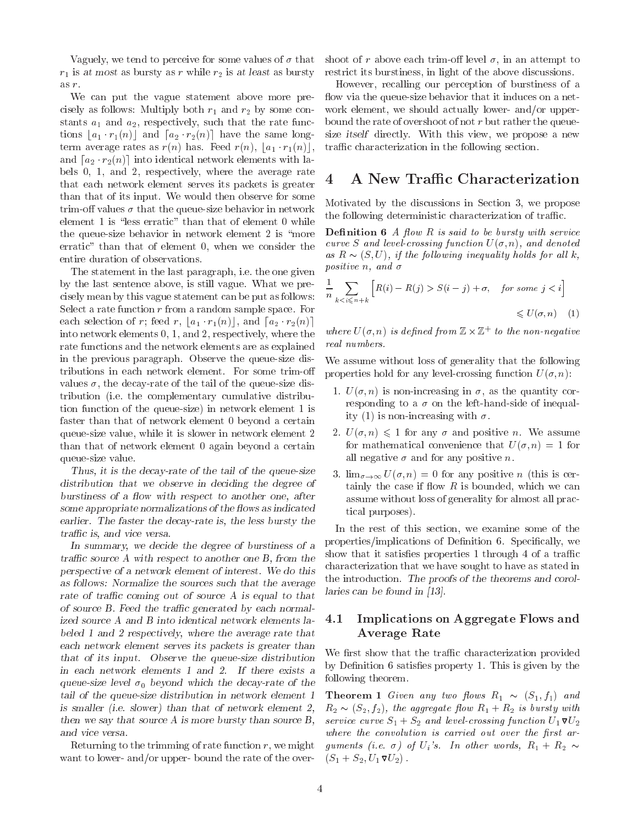Vaguely, we tend to perceive for some values of  $\sigma$  that  $r_1$  is at most as bursty as r while  $r_2$  is at least as bursty as r.

We can put the vague statement above more precisely as follows: Multiply both  $r_1$  and  $r_2$  by some constants  $a_1$  and  $a_2$ , respectively, such that the rate functions  $|a_1 \cdot r_1(n)|$  and  $[a_2 \cdot r_2(n)]$  have the same longterm average rates as  $r(n)$  has. Feed  $r(n)$ ,  $|a_1 \cdot r_1(n)|$ , and  $[a_2 \cdot r_2(n)]$  into identical network elements with labels  $0, 1$ , and  $2$ , respectively, where the average rate  $4$ that each network element serves its packets is greater than that of its input. We would then observe for some trim-off values  $\sigma$  that the queue-size behavior in network element 1 is "less erratic" than that of element  $0$  while the queue-size behavior in network element 2 is "more erratic" than that of element 0, when we consider the entire duration of observations.

The statement in the last paragraph, i.e. the one given by the last sentence above, is still vague. What we precisely mean by this vague statement can be put as follows: Select a rate function  $r$  from a random sample space. For each selection of r; feed r,  $|a_1 \cdot r_1(n)|$ , and  $[a_2 \cdot r_2(n)]$ into network elements 0, 1, and 2, respectively, where the rate functions and the network elements are as explained in the previous paragraph. Observe the queue-size distributions in each network element. For some trim-o values  $\sigma$ , the decay-rate of the tail of the queue-size distribution (i.e. the complementary cumulative distribution function of the queue-size) in network element 1 is faster than that of network element 0 beyond a certain queue-size value, while it is slower in network element 2 than that of network element 0 again beyond a certain queue-size value.

Thus, it is the decay-rate of the tail of the queue-size distribution that we observe in deciding the degree of burstiness of a flow with respect to another one, after some appropriate normalizations of the flows as indicated earlier. The faster the decay-rate is, the less bursty the traffic is, and vice versa.

In summary, we decide the degree of burstiness of a traffic source A with respect to another one B, from the perspective of a network element of interest. We do this as follows: Normalize the sources such that the average rate of traffic coming out of source  $A$  is equal to that of source  $B$ . Feed the traffic generated by each normalized source A and B into identical network elements labeled 1 and 2 respectively, where the average rate that each network element serves its packets is greater than that of its input. Observe the queue-size distribution in each network elements 1 and 2. If there exists a queue-size level  $\sigma_0$  beyond which the decay-rate of the tail of the queue-size distribution in network element 1 is smaller (i.e. slower) than that of network element 2, then we say that source A is more bursty than source  $B$ , and vice versa.

Returning to the trimming of rate function  $r$ , we might want to lower- and/or upper- bound the rate of the over-

shoot of r above each trim-off level  $\sigma$ , in an attempt to restrict its burstiness, in light of the above discussions.

However, recalling our perception of burstiness of a flow via the queue-size behavior that it induces on a network element, we should actually lower- and/or upperbound the rate of overshoot of not  $r$  but rather the queuesize itself directly. With this view, we propose a new traffic characterization in the following section.

## A New Traffic Characterization

Motivated by the discussions in Section 3, we propose the following deterministic characterization of traffic.

**Definition 6** A flow R is said to be bursty with service curve S and level-crossing function  $U(\sigma, n)$ , and denoted as R  $(8, 9, 7)$ , if the following inequality holds for all  $\alpha$ , if  $\alpha$ positive n, and  $\sigma$ 

$$
\frac{1}{n} \sum_{k < i \le n+k} \left[ R(i) - R(j) > S(i-j) + \sigma, \quad \text{for some } j < i \right] \le U(\sigma, n) \tag{1}
$$

where  $U(\sigma, n)$  is defined from  $\mathbb{Z} \times \mathbb{Z}^+$  to the non-negative real numbers.

We assume without loss of generality that the following properties hold for any level-crossing function  $U(\sigma, n)$ :

- 1.  $U(\sigma, n)$  is non-increasing in  $\sigma$ , as the quantity corresponding to a  $\sigma$  on the left-hand-side of inequality (1) is non-increasing with  $\sigma$ .
- 2.  $U(\sigma, n) \leq 1$  for any  $\sigma$  and positive n. We assume for mathematical convenience that  $U(\sigma, n) = 1$  for all negative  $\sigma$  and for any positive n.<br>3.  $\lim_{\sigma \to \infty} U(\sigma, n) = 0$  for any positive n (this is cer-
- tainly the case if flow  $R$  is bounded, which we can assume without loss of generality for almost all practical purposes).

In the rest of this section, we examine some of the properties/implications of Definition 6. Specifically, we show that it satisfies properties  $1$  through  $4$  of a traffic characterization that we have sought to have as stated in the introduction. The proofs of the theorems and corollaries can be found in [13].

## 4.1 Implications on Aggregate Flows and Average Rate

We first show that the traffic characterization provided by Definition 6 satisfies property 1. This is given by the following theorem.

 $\sum_{i=1}^{\infty}$   $\sum_{i=1}^{\infty}$   $\sum_{i=1}^{\infty}$   $\sum_{i=1}^{\infty}$   $\sum_{i=1}^{\infty}$   $\sum_{i=1}^{\infty}$   $\sum_{i=1}^{\infty}$   $\sum_{i=1}^{\infty}$  $\mathbb{P}^{2}$  (S2), f2), the aggregate aggregate  $\mathcal{Y}$  is burst with  $\mathcal{Y}$  and  $\mathcal{Y}$  is burst with  $\mathcal{Y}$ service curve  $S_1 + S_2$  and level-crossing function  $U_1 \nabla U_2$ where the convolution is carried out over the first arguments (i.e.  $\sigma$ ) of  $U_i$ 's. In other words,  $R_1 + R_2 \sim$  $(S_1 + S_2, U_1 \mathbf{V}_2)$ .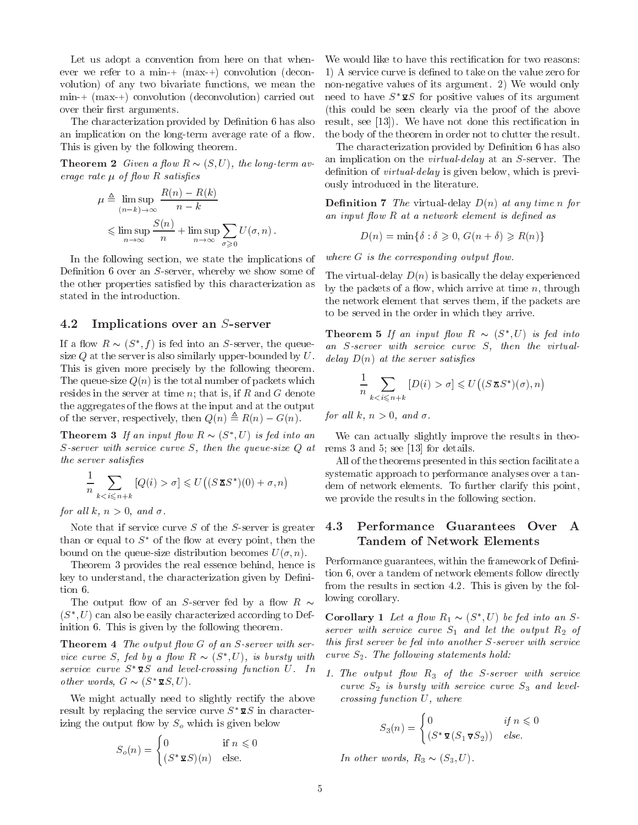Let us adopt a convention from here on that whenever we refer to a min-+ (max-+) convolution (decon volution) of any two bivariate functions, we mean the min-+ (max-+) convolution (deconvolution) carried out over their first arguments.

The characterization provided by Definition 6 has also an implication on the long-term average rate of a flow. This is given by the following theorem.

 $\mathbf{r}$  and  $\mathbf{r}$  and  $\mathbf{r}$  are  $\mathbf{r}$  ( $\mathbf{r}$ ), the long-term at erage rate  $\mu$  of flow R satisfies

$$
\mu \triangleq \limsup_{(n-k)\to\infty} \frac{R(n) - R(k)}{n - k}
$$
\n
$$
\leq \limsup_{n\to\infty} \frac{S(n)}{n} + \limsup_{n\to\infty} \sum_{\sigma \geq 0} U(\sigma, n).
$$
\nDefi

In the following section, we state the implications of Definition 6 over an  $S$ -server, whereby we show some of the other properties satisfied by this characterization as stated in the introduction.

>0

### 4.2 Implications over an S-server

If a now  $R \sim (S, J)$  is fed into an S-server, the queuesize  $Q$  at the server is also similarly upper-bounded by  $U$ . This is given more precisely by the following theorem. The queue-size  $Q(n)$  is the total number of packets which resides in the server at time  $n$ ; that is, if  $R$  and  $G$  denote the aggregates of the flows at the input and at the output of the server, respectively, then Q(n) , R(n) G(n).

**Theorem 3** If an input flow  $R \sim (S, U)$  is feat into an we c S-server with service curve S, then the queue-size Q at the server satisfies

$$
\frac{1}{n} \sum_{k < i \le n+k} \left[ Q(i) > \sigma \right] \leqslant U\big( (S \mathbf{X} S^*)(0) + \sigma, n \big)
$$

for all k,  $n > 0$ , and  $\sigma$ .

Note that if service curve S of the S-server is greater  $4.3$ than or equal to  $S^*$  of the flow at every point, then the bound on the queue-size distribution becomes  $U(\sigma, n)$ .

Theorem 3 provides the real essence behind, hence is key to understand, the characterization given by Definition 6.

The output flow of an S-server fed by a flow R  $\sim$  $\sigma$  ,  $\sigma$  ) can also be easily characterized according to Deiinition 6. This is given by the following theorem.

**Theorem 4** The output flow  $G$  of an  $S$ -server with service curve  $S$ , jea by a flow  $K \sim (S, U)$ , is bursty with curve service curve  $S^* \Sigma S$  and level-crossing function U. In other words,  $G \sim (S \times S, U)$ .

We might actually need to slightly rectify the above result by replacing the service curve  $S^* \mathcal{Q} S$  in characterizing the output flow by  $S<sub>o</sub>$  which is given below

$$
S_o(n) = \begin{cases} 0 & \text{if } n \leq 0\\ (S^* \mathbf{\Sigma} S)(n) & \text{else.} \end{cases}
$$

We would like to have this rectification for two reasons: 1) A service curve is defined to take on the value zero for non-negative values of its argument. 2) We would only need to have  $S^* \mathbf{z} S$  for positive values of its argument (this could be seen clearly via the proof of the above result, see [13]). We have not done this rectification in the body of the theorem in order not to clutter the result.

The characterization provided by Definition 6 has also an implication on the virtual-delay at an S-server. The definition of *virtual-delay* is given below, which is previously introduced in the literature.

**Definition 7** The virtual-delay  $D(n)$  at any time n for an input flow  $R$  at a network element is defined as

$$
D(n) = \min\{\delta : \delta \geq 0, G(n+\delta) \geq R(n)\}\
$$

where  $G$  is the corresponding output flow.

The virtual-delay  $D(n)$  is basically the delay experienced by the packets of a flow, which arrive at time  $n$ , through the network element that serves them, if the packets are to be served in the order in which they arrive.

**Theorem 5** If an input flow  $R \sim (S, U)$  is feature an S-server with service curve S, then the virtualdelay  $D(n)$  at the server satisfies

$$
\frac{1}{n} \sum_{k < i \le n+k} \left[ D(i) > \sigma \right] \leqslant U\big( (S \mathbf{X} S^*)(\sigma), n \big)
$$

for all k,  $n > 0$ , and  $\sigma$ .

We can actually slightly improve the results in theorems 3 and 5; see [13] for details.

All of the theorems presented in this section facilitate a systematic approach to performance analyses over a tandem of network elements. To further clarify this point, we provide the results in the following section.

#### Performance Guarantees Over  $\mathbf{A}$ Tandem of Network Elements

Performance guarantees, within the framework of Definition 6, over a tandem of network elements follow directly from the results in section 4.2. This is given by the following corollary.

Corollary 1 Let a flow  $R_1 \sim (S_1, U)$  be feating an Sserver with service curve  $S_1$  and let the output  $R_2$  of this first server be fed into another  $S$ -server with service curve  $S_2$ . The following statements hold:

1. The output flow  $R_3$  of the S-server with service curve  $S_2$  is bursty with service curve  $S_3$  and levelcrossing function U, where

$$
S_3(n) = \begin{cases} 0 & \text{if } n \leq 0\\ (S^* \mathbf{V} (S_1 \mathbf{V} S_2)) & \text{else.} \end{cases}
$$

In other words, R3 (S3; U).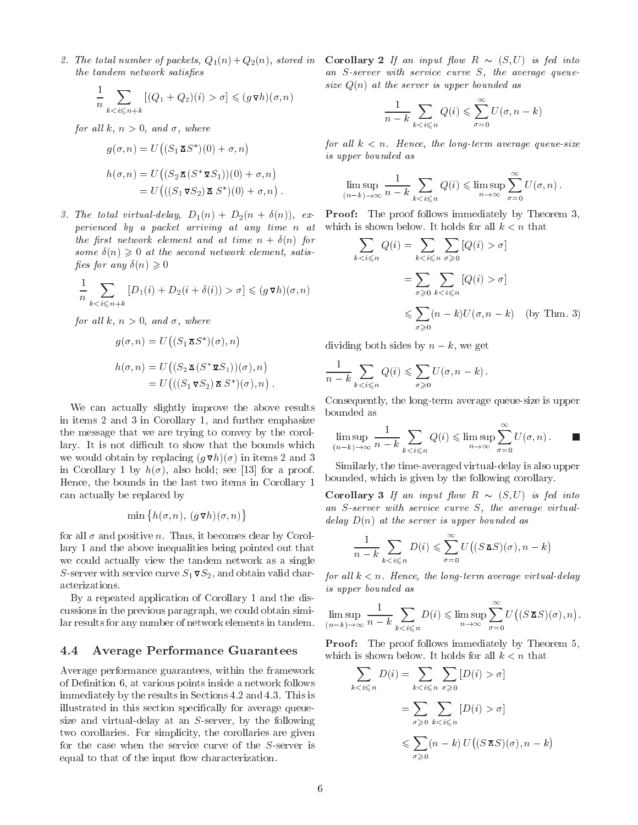the tandem network satisfies

$$
\frac{1}{n} \sum_{k < i \leq n+k} \left[ (Q_1 + Q_2)(i) > \sigma \right] \leqslant (g \, \mathbf{\nabla} h)(\sigma, n)
$$

for all k,  $n > 0$ , and  $\sigma$ , where

$$
g(\sigma, n) = U\big((S_1 \mathbf{\Sigma} S^*)(0) + \sigma, n\big)
$$
  
\n
$$
h(\sigma, n) = U\big((S_2 \mathbf{\Sigma} (S^* \mathbf{\Sigma} S_1))(0) + \sigma, n\big)
$$
  
\n
$$
= U\big(((S_1 \mathbf{\Sigma} S_2) \mathbf{\Sigma} (S^*)(0) + \sigma, n)\big).
$$

perienced by a packet arriving at any time n at the first network element and at time  $n + \delta(n)$  for some  $\delta(n) \geq 0$  at the second network element, satisfies for any  $\delta(n) \geq 0$ 

$$
\frac{1}{n} \sum_{k < i \le n+k} \left[ D_1(i) + D_2(i + \delta(i)) > \sigma \right] \leqslant (g \mathbf{v} h)(\sigma, n)
$$

for all k,  $n > 0$ , and  $\sigma$ , where

$$
g(\sigma, n) = U\big((S_1 \mathbf{\Sigma} S^*)(\sigma), n\big)
$$
  
\n
$$
h(\sigma, n) = U\big((S_2 \mathbf{\Sigma} (S^* \mathbf{\Sigma} S_1))(\sigma), n\big)
$$
  
\n
$$
= U\big(((S_1 \mathbf{\Sigma} S_2) \mathbf{\Sigma} S^*)(\sigma), n\big).
$$

We can actually slightly improve the above results bounded as in items 2 and 3 in Corollary 1, and further emphasize the message that we are trying to convey by the corollary. It is not difficult to show that the bounds which we would obtain by replacing  $(g \nabla h)(\sigma)$  in items 2 and 3 in Corollary 1 by  $h(\sigma)$ , also hold; see [13] for a proof. Hence, the bounds in the last two items in Corollary 1 can actually be replaced by

$$
\min\left\{h(\sigma, n), (g \mathbf{\nabla} h)(\sigma, n)\right\}
$$

for all  $\sigma$  and positive n. Thus, it becomes clear by Corollary 1 and the above inequalities being pointed out that we could actually view the tandem network as a single S-server with service curve  $S_1 \nabla S_2$ , and obtain valid characterizations.

By a repeated application of Corollary 1 and the discussions in the previous paragraph, we could obtain similar results for any number of network elements in tandem.

#### 4.4 4.4 Average Performance Guarantees

Average performance guarantees, within the framework of Definition 6, at various points inside a network follows immediately by the results in Sections 4.2 and 4.3. This is illustrated in this section specifically for average queuesize and virtual-delay at an S-server, by the following two corollaries. For simplicity, the corollaries are given for the case when the service curve of the S-server is equal to that of the input flow characterization.

 $\mathcal{L}$  is to total number of packets,  $\mathcal{L}_1(\cdot) + \mathcal{L}_2(\cdot)$ , stored in  $\mathcal{L}_2$  is  $\mathcal{L}_3$  and  $\mathcal{L}_4(\cdot)$  is four into  $\mathcal{L}_3$ an S-server with service curve S, the average queuesize  $Q(n)$  at the server is upper bounded as

$$
\frac{1}{n-k} \sum_{k < i \leqslant n} Q(i) \leqslant \sum_{\sigma=0}^{\infty} U(\sigma, n-k)
$$

for all  $k < n$ . Hence, the long-term average queue-size is upper bounded as

$$
\limsup_{(n-k)\to\infty} \frac{1}{n-k} \sum_{k < i \leq n} Q(i) \leq \limsup_{n \to \infty} \sum_{\sigma=0}^{\infty} U(\sigma, n).
$$

3. The total virtual-delay, D1(n) + D2(n + (n)), ex-Proof: The proof follows immediately by Theorem 3, which is shown below. It holds for all  $k < n$  that

$$
\sum_{k < i \leq n} Q(i) = \sum_{k < i \leq n} \sum_{\sigma \geq 0} [Q(i) > \sigma]
$$
\n
$$
= \sum_{\sigma \geq 0} \sum_{k < i \leq n} [Q(i) > \sigma]
$$
\n
$$
\leq \sum_{\sigma \geq 0} (n - k) U(\sigma, n - k) \quad \text{(by Thm. 3)}
$$

 $\alpha$  dividing both sides by n  $\alpha$ , we get

$$
\frac{1}{n-k}\sum_{k
$$

Consequently, the long-term average queue-size is upper

$$
\limsup_{(n-k)\to\infty} \frac{1}{n-k} \sum_{k < i \leq n} Q(i) \leq \limsup_{n \to \infty} \sum_{\sigma=0}^{\infty} U(\sigma, n).
$$

Similarly, the time-averaged virtual-delay is also upper bounded, which is given by the following corollary.

 $\sum_{i=1}^n$  is  $\sum_{i=1}^n$  and  $\sum_{i=1}^n$  into  $\sum_{i=1}^n$  is four into  $\sum_{i=1}^n$ an S-server with service curve S, the average virtualdelay  $D(n)$  at the server is upper bounded as

$$
\frac{1}{n-k} \sum_{k < i \leq n} D(i) \leq \sum_{\sigma=0}^{\infty} U\big((S \mathbf{Z} S)(\sigma), n-k\big)
$$

for all  $k < n$ . Hence, the long-term average virtual-delay is upper bounded as

$$
\limsup_{(n-k)\to\infty}\frac{1}{n-k}\sum_{k
$$

**Proof:** The proof follows immediately by Theorem 5, which is shown below. It holds for all  $k < n$  that

$$
\sum_{k < i \leq n} D(i) = \sum_{k < i \leq n} \sum_{\sigma \geq 0} [D(i) > \sigma]
$$
\n
$$
= \sum_{\sigma \geq 0} \sum_{k < i \leq n} [D(i) > \sigma]
$$
\n
$$
\leq \sum_{\sigma \geq 0} (n - k) U((S \mathbf{X} S)(\sigma), n - k)
$$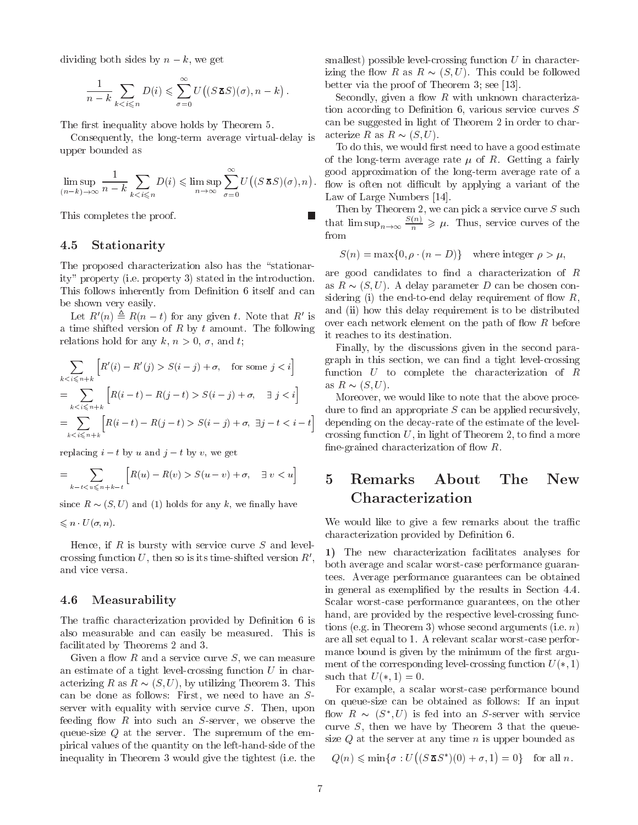dividing both sides by n k, we get

$$
\frac{1}{n-k} \sum_{k < i \leqslant n} D(i) \leqslant \sum_{\sigma=0}^{\infty} U\big((S \mathbf{X} S)(\sigma), n-k\big) .
$$

The first inequality above holds by Theorem 5.

Consequently, the long-term average virtual-delay is upper bounded as

$$
\limsup_{(n-k)\to\infty} \frac{1}{n-k} \sum_{k < i \leq n} D(i) \leq \limsup_{n\to\infty} \sum_{\sigma=0}^{\infty} U\big((S \mathbf{X} S)(\sigma), n\big)
$$

This completes the proof.

## 4.5 Stationarity

The proposed characterization also has the "stationarity" property (i.e. property 3) stated in the introduction. This follows inherently from Definition 6 itself and can be shown very easily.

Let  $R(n) = R(n - t)$  for any given t. Note that  $R_0$  is  $\frac{1}{2}$ a time shifted version of  $R$  by  $t$  amount. The following relations hold for any k,  $n > 0$ ,  $\sigma$ , and t;

$$
\sum_{k < i \le n+k} \left[ R'(i) - R'(j) > S(i-j) + \sigma, \quad \text{for some } j < i \right] \qquad \text{graph in} \\ = \sum_{k < i \le n+k} \left[ R(i-t) - R(j-t) > S(i-j) + \sigma, \quad \exists \ j < i \right] \qquad \text{Moreover} \\ = \sum_{k < i \le n+k} \left[ R(i-t) - R(j-t) > S(i-j) + \sigma, \quad \exists j-t < i-t \right] \qquad \text{depending} \\ \text{crossing} \\ \text{crossing} \qquad \text{crossing} \\ \text{crossing} \qquad \text{crossing} \\ \text{crossing} \qquad \text{crossing} \\ \text{crossing} \\ \text{crossing} \\ \text{crossing} \\ \text{crossing} \\ \text{crossing} \\ \text{crossing} \\ \text{crossing} \\ \text{crossing} \\ \text{crossing} \\ \text{crossing} \\ \text{crossing} \\ \text{crossing} \\ \text{crossing} \\ \text{crossing} \\ \text{crossing} \\ \text{crossing} \\ \text{crossing} \\ \text{crossing} \\ \text{crossing} \\ \text{crossing} \\ \text{crossing} \\ \text{crossing} \\ \text{crossing} \\ \text{crossing} \\ \text{crossing} \\ \text{crossing} \\ \text{crossing} \\ \text{crossing} \\ \text{crossing} \\ \text{torsing} \\ \text{torsing} \\ \text{torsing} \\ \text{torsing} \\ \text{torsing} \\ \text{torsing} \\ \text{torsing} \\ \text{torsing} \\ \text{torsing} \\ \text{torsing} \\ \text{torsing} \\ \text{torsing} \\ \text{torsing} \\ \text{torsing} \\ \text{torsing} \\ \text{torsing} \\ \text{torsing} \\ \text{torsing} \\ \text{torsing} \\ \text{torsing} \\ \text{torsing} \\ \text{torsing} \\ \text{torsing} \\ \text{torsing} \\ \text{torsing} \\ \text{torsing} \\ \text{torsing} \\ \text{torsing} \\ \text{torsing} \\ \text{torsing} \\ \text{torsing} \\ \text{torsing} \\ \text{torsing} \\ \text{torsing} \\ \text{torsing} \\ \text{torsing} \\ \text{torsing} \\ \text{torsing} \\ \text{torsing} \\ \text{torsing} \\ \text{torsing} \\ \text{torsing} \\ \text{torsing} \\ \text{torsing} \\ \text{torsing} \\ \text{torsing}
$$

replacing  $i - t$  by u and  $j - t$  by v, we get

$$
= \sum_{k-t < u \le n+k-t} \left[ R(u) - R(v) > S(u-v) + \sigma, \quad \exists \ v < u \right] \tag{5}
$$

since  $R \sim (S, U)$  and (1) holds for any k, we finally have

 $\leq n \cdot U(\sigma, n).$ 

Hence, if  $R$  is bursty with service curve  $S$  and levelcrossing function U, then so is its time-shifted version  $R'$ , and vice versa.

#### 4.6 Measurability

The traffic characterization provided by Definition 6 is also measurable and can easily be measured. This is facilitated by Theorems 2 and 3.

Given a flow R and a service curve  $S$ , we can measure an estimate of a tight level-crossing function  $U$  in characterizing R as R  $( \infty, \infty )$ , by utilizing the size  $\mathbb{P}^{\times}$ can be done as follows: First, we need to have an S server with equality with service curve  $S$ . Then, upon feeding flow  $R$  into such an  $S$ -server, we observe the queue-size  $Q$  at the server. The supremum of the empirical values of the quantity on the left-hand-side of the inequality in Theorem 3 would give the tightest (i.e. the

smallest) possible level-crossing function  $U$  in characterizing the state of the followed be followed be followed by the followed behavior of the followed be followed b better via the proof of Theorem 3; see [13].

Secondly, given a flow  $R$  with unknown characterization according to Definition 6, various service curves  $S$ can be suggested in light of Theorem 2 in order to characterize R as R as R  $\chi$  (S). The R as R  $\chi$ 

 $(S \times S)(\sigma), n$ ). How is often not difficult by applying a variant of the To do this, we would first need to have a good estimate of the long-term average rate  $\mu$  of R. Getting a fairly good approximation of the long-term average rate of a Law of Large Numbers [14].

> Then by Theorem 2, we can pick a service curve  $S$  such that  $\limsup_{n\to\infty} \frac{1}{n} \geqslant \mu$ . Thus, service curves of the from

 $S(n) = \max\{0, \rho \cdot (n - D)\}\$  where integer  $\rho > \mu$ ,

are good candidates to find a characterization of  $R$ as R  $(\mathbb{R}^n)$  . A delay parameter  $\mathbb{R}^n$  and  $\mathbb{R}^n$ sidering (i) the end-to-end delay requirement of flow  $R$ , and (ii) how this delay requirement is to be distributed over each network element on the path of flow  $R$  before it reaches to its destination.

Finally, by the discussions given in the second paragraph in this section, we can find a tight level-crossing function  $U$  to complete the characterization of  $R$ as R (Si U). The set of  $\mathcal{N}$  as  $\mathcal{N}$ 

Moreover, we would like to note that the above procedure to find an appropriate  $S$  can be applied recursively, depending on the decay-rate of the estimate of the levelcrossing function  $U$ , in light of Theorem 2, to find a more fine-grained characterization of flow  $R$ .

# Characterization

We would like to give a few remarks about the traffic characterization provided by Definition 6.

1) The new characterization facilitates analyses for both average and scalar worst-case performance guarantees. Average performance guarantees can be obtained in general as exemplied by the results in Section 4.4. Scalar worst-case performance guarantees, on the other hand, are provided by the respective level-crossing functions (e.g. in Theorem 3) whose second arguments (i.e.  $n$ ) are all set equal to 1. A relevant scalar worst-case performance bound is given by the minimum of the first argument of the corresponding level-crossing function  $U(*, 1)$ such that  $U(*, 1) = 0$ .

For example, a scalar worst-case performance bound on queue-size can be obtained as follows: If an input  $\lim_{n \to \infty}$   $\lim_{n \to \infty}$   $\lim_{n \to \infty}$  is fed into an S-server with service curve  $S$ , then we have by Theorem 3 that the queuesize  $Q$  at the server at any time n is upper bounded as

 $\mathcal{L}$  (ii)  $\mathcal{L}$  minimal is used to  $\mathcal{L}(\mathcal{L}^{\mathcal{L}})$  $((S \boxtimes S^*)(0) + \sigma, 1) = 0$  f = 0g for all n.

 $\Box$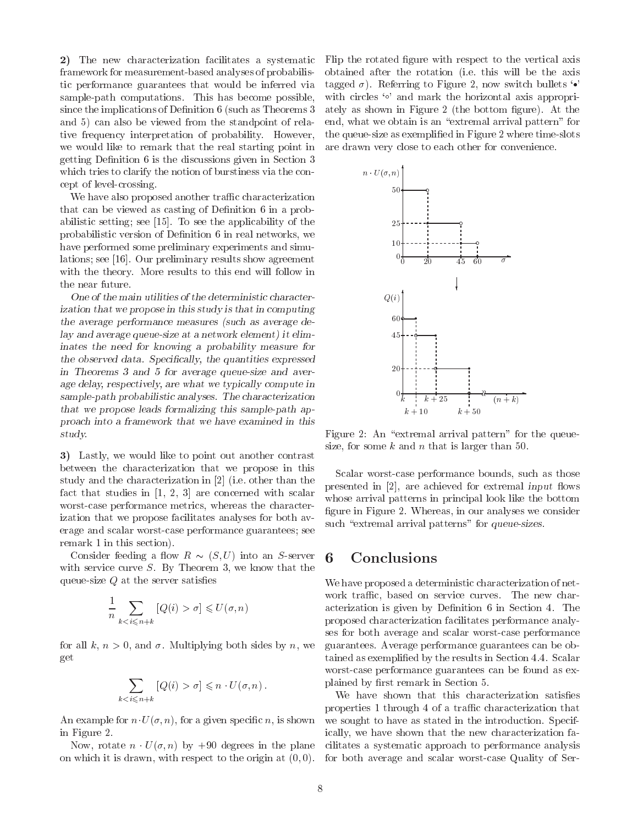2) The new characterization facilitates a systematic framework for measurement-based analyses of probabilistic performance guarantees that would be inferred via sample-path computations. This has become possible, since the implications of Definition 6 (such as Theorems 3 and 5) can also be viewed from the standpoint of relative frequency interpretation of probability. However, we would like to remark that the real starting point in getting Denition 6 is the discussions given in Section 3 which tries to clarify the notion of burstiness via the concept of level-crossing.

We have also proposed another traffic characterization that can be viewed as casting of Definition 6 in a probabilistic setting; see [15]. To see the applicability of the probabilistic version of Definition 6 in real networks, we have performed some preliminary experiments and simulations; see [16]. Our preliminary results show agreement with the theory. More results to this end will follow in the near future.

One of the main utilities of the deterministic characterization that we propose in this study is that in computing the average performance measures (such as average delay and average queue-size at a network element) it eliminates the need for knowing a probability measure for the observed data. Specifically, the quantities expressed in Theorems 3 and 5 for average queue-size and average delay, respectively, are what we typically compute in sample-path probabilistic analyses. The characterization that we propose leads formalizing this sample-path approach into a framework that we have examined in this study.

3) Lastly, we would like to point out another contrast between the characterization that we propose in this study and the characterization in [2] (i.e. other than the fact that studies in [1, 2, 3] are concerned with scalar worst-case performance metrics, whereas the characterization that we propose facilitates analyses for both av erage and scalar worst-case performance guarantees; see remark 1 in this section).

 $\sim$  consider feeding a server into  $\sim$  (s)  $\sim$  ) into an S-server into  $\sim$ with service curve  $S$ . By Theorem 3, we know that the queue-size  $Q$  at the server satisfies

$$
\frac{1}{n} \sum_{k < i \le n+k} \left[ Q(i) > \sigma \right] \leqslant U(\sigma, n)
$$

for all k,  $n > 0$ , and  $\sigma$ . Multiplying both sides by n, we get

$$
\sum_{k < i \leqslant n+k} \left[ Q(i) > \sigma \right] \leqslant n \cdot U(\sigma, n) \, .
$$

An example for  $n \cdot U(\sigma, n)$ , for a given specific n, is shown in Figure 2.

 $\mathcal{L}$  , rotate n  $\mathcal{L}$  (ii) by the planet in the planet in the planet in on which it is drawn, with respect to the origin at  $(0, 0)$ .

Flip the rotated figure with respect to the vertical axis obtained after the rotation (i.e. this will be the axis tagged  $\sigma$ ). Referring to Figure 2, now switch bullets  $\cdot \cdot$ with circles  $\circ$  and mark the horizontal axis appropriately as shown in Figure 2 (the bottom figure). At the end, what we obtain is an "extremal arrival pattern" for the queue-size as exemplied in Figure 2 where time-slots are drawn very close to each other for convenience.



Figure 2: An "extremal arrival pattern" for the queuesize, for some  $k$  and  $n$  that is larger than 50.

Scalar worst-case performance bounds, such as those presented in  $[2]$ , are achieved for extremal input flows whose arrival patterns in principal look like the bottom figure in Figure 2. Whereas, in our analyses we consider such "extremal arrival patterns" for queue-sizes.

## 6 Conclusions

We have proposed a deterministic characterization of net work traffic, based on service curves. The new characterization is given by Definition 6 in Section 4. The proposed characterization facilitates performance analyses for both average and scalar worst-case performance guarantees. Average performance guarantees can be obtained as exemplied by the results in Section 4.4. Scalar worst-case performance guarantees can be found as explained by first remark in Section 5.

We have shown that this characterization satisfies properties 1 through 4 of a traffic characterization that we sought to have as stated in the introduction. Specifically, we have shown that the new characterization facilitates a systematic approach to performance analysis for both average and scalar worst-case Quality of Ser